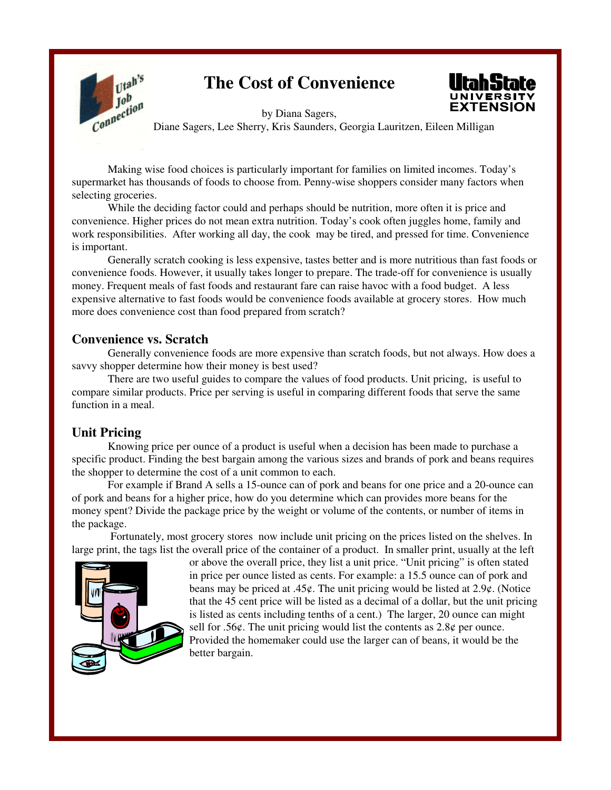

# **The Cost of Convenience**



by Diana Sagers, Diane Sagers, Lee Sherry, Kris Saunders, Georgia Lauritzen, Eileen Milligan

Making wise food choices is particularly important for families on limited incomes. Today's supermarket has thousands of foods to choose from. Penny-wise shoppers consider many factors when selecting groceries.

While the deciding factor could and perhaps should be nutrition, more often it is price and convenience. Higher prices do not mean extra nutrition. Today's cook often juggles home, family and work responsibilities. After working all day, the cook may be tired, and pressed for time. Convenience is important.

Generally scratch cooking is less expensive, tastes better and is more nutritious than fast foods or convenience foods. However, it usually takes longer to prepare. The trade-off for convenience is usually money. Frequent meals of fast foods and restaurant fare can raise havoc with a food budget. A less expensive alternative to fast foods would be convenience foods available at grocery stores. How much more does convenience cost than food prepared from scratch?

#### **Convenience vs. Scratch**

Generally convenience foods are more expensive than scratch foods, but not always. How does a savvy shopper determine how their money is best used?

There are two useful guides to compare the values of food products. Unit pricing, is useful to compare similar products. Price per serving is useful in comparing different foods that serve the same function in a meal.

#### **Unit Pricing**

Knowing price per ounce of a product is useful when a decision has been made to purchase a specific product. Finding the best bargain among the various sizes and brands of pork and beans requires the shopper to determine the cost of a unit common to each.

For example if Brand A sells a 15-ounce can of pork and beans for one price and a 20-ounce can of pork and beans for a higher price, how do you determine which can provides more beans for the money spent? Divide the package price by the weight or volume of the contents, or number of items in the package.

 Fortunately, most grocery stores now include unit pricing on the prices listed on the shelves. In large print, the tags list the overall price of the container of a product. In smaller print, usually at the left



or above the overall price, they list a unit price. "Unit pricing" is often stated in price per ounce listed as cents. For example: a 15.5 ounce can of pork and beans may be priced at .45¢. The unit pricing would be listed at 2.9¢. (Notice that the 45 cent price will be listed as a decimal of a dollar, but the unit pricing is listed as cents including tenths of a cent.) The larger, 20 ounce can might sell for .56 $\varphi$ . The unit pricing would list the contents as 2.8 $\varphi$  per ounce. Provided the homemaker could use the larger can of beans, it would be the better bargain.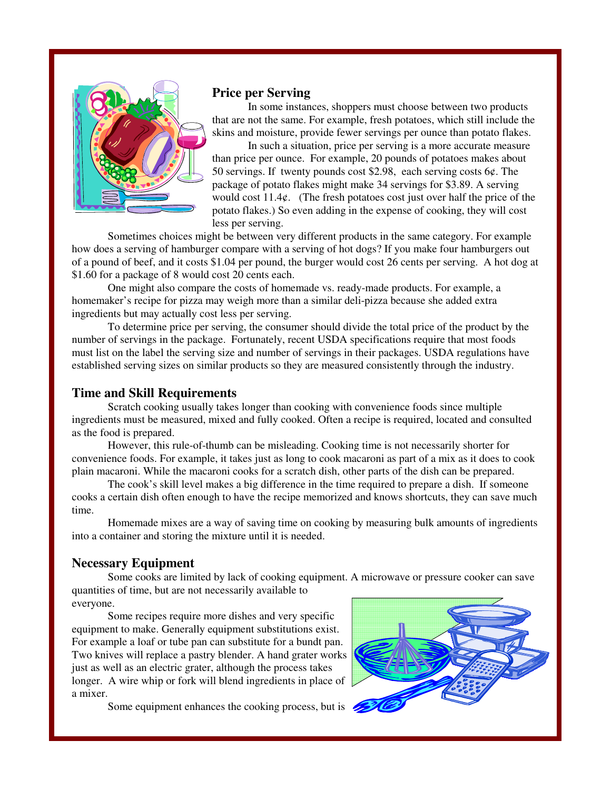

#### **Price per Serving**

In some instances, shoppers must choose between two products that are not the same. For example, fresh potatoes, which still include the skins and moisture, provide fewer servings per ounce than potato flakes.

In such a situation, price per serving is a more accurate measure than price per ounce. For example, 20 pounds of potatoes makes about 50 servings. If twenty pounds cost \$2.98, each serving costs  $6¢$ . The package of potato flakes might make 34 servings for \$3.89. A serving would cost  $11.4¢$ . (The fresh potatoes cost just over half the price of the potato flakes.) So even adding in the expense of cooking, they will cost less per serving.

Sometimes choices might be between very different products in the same category. For example how does a serving of hamburger compare with a serving of hot dogs? If you make four hamburgers out of a pound of beef, and it costs \$1.04 per pound, the burger would cost 26 cents per serving. A hot dog at \$1.60 for a package of 8 would cost 20 cents each.

One might also compare the costs of homemade vs. ready-made products. For example, a homemaker's recipe for pizza may weigh more than a similar deli-pizza because she added extra ingredients but may actually cost less per serving.

To determine price per serving, the consumer should divide the total price of the product by the number of servings in the package. Fortunately, recent USDA specifications require that most foods must list on the label the serving size and number of servings in their packages. USDA regulations have established serving sizes on similar products so they are measured consistently through the industry.

#### **Time and Skill Requirements**

Scratch cooking usually takes longer than cooking with convenience foods since multiple ingredients must be measured, mixed and fully cooked. Often a recipe is required, located and consulted as the food is prepared.

However, this rule-of-thumb can be misleading. Cooking time is not necessarily shorter for convenience foods. For example, it takes just as long to cook macaroni as part of a mix as it does to cook plain macaroni. While the macaroni cooks for a scratch dish, other parts of the dish can be prepared.

The cook's skill level makes a big difference in the time required to prepare a dish. If someone cooks a certain dish often enough to have the recipe memorized and knows shortcuts, they can save much time.

Homemade mixes are a way of saving time on cooking by measuring bulk amounts of ingredients into a container and storing the mixture until it is needed.

#### **Necessary Equipment**

Some cooks are limited by lack of cooking equipment. A microwave or pressure cooker can save quantities of time, but are not necessarily available to everyone.

Some recipes require more dishes and very specific equipment to make. Generally equipment substitutions exist. For example a loaf or tube pan can substitute for a bundt pan. Two knives will replace a pastry blender. A hand grater works just as well as an electric grater, although the process takes longer. A wire whip or fork will blend ingredients in place of a mixer.

Some equipment enhances the cooking process, but is

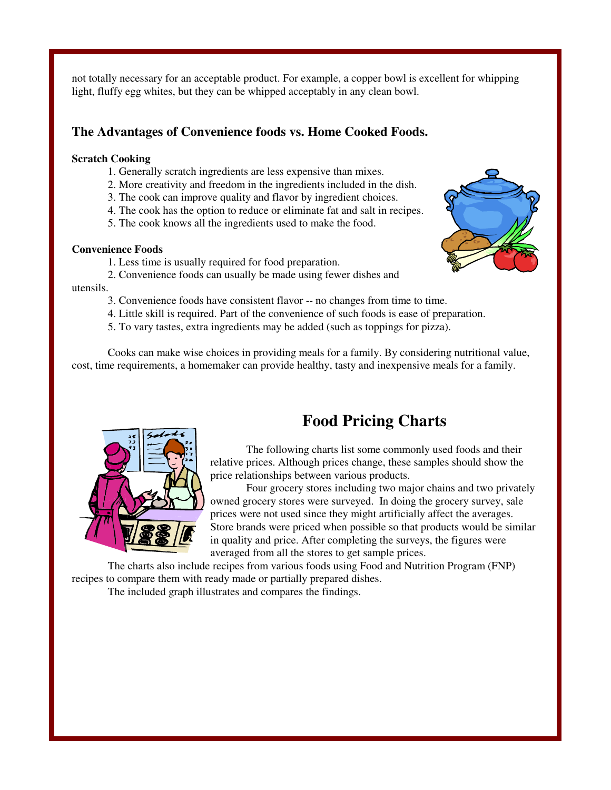not totally necessary for an acceptable product. For example, a copper bowl is excellent for whipping light, fluffy egg whites, but they can be whipped acceptably in any clean bowl.

#### **The Advantages of Convenience foods vs. Home Cooked Foods.**

#### **Scratch Cooking**

- 1. Generally scratch ingredients are less expensive than mixes.
- 2. More creativity and freedom in the ingredients included in the dish.
- 3. The cook can improve quality and flavor by ingredient choices.
- 4. The cook has the option to reduce or eliminate fat and salt in recipes.
- 5. The cook knows all the ingredients used to make the food.

#### **Convenience Foods**

- 1. Less time is usually required for food preparation.
- 2. Convenience foods can usually be made using fewer dishes and

#### utensils.

- 3. Convenience foods have consistent flavor -- no changes from time to time.
- 4. Little skill is required. Part of the convenience of such foods is ease of preparation.
- 5. To vary tastes, extra ingredients may be added (such as toppings for pizza).

Cooks can make wise choices in providing meals for a family. By considering nutritional value, cost, time requirements, a homemaker can provide healthy, tasty and inexpensive meals for a family.



## **Food Pricing Charts**

The following charts list some commonly used foods and their relative prices. Although prices change, these samples should show the price relationships between various products.

Four grocery stores including two major chains and two privately owned grocery stores were surveyed. In doing the grocery survey, sale prices were not used since they might artificially affect the averages. Store brands were priced when possible so that products would be similar in quality and price. After completing the surveys, the figures were averaged from all the stores to get sample prices.

The charts also include recipes from various foods using Food and Nutrition Program (FNP) recipes to compare them with ready made or partially prepared dishes.

The included graph illustrates and compares the findings.

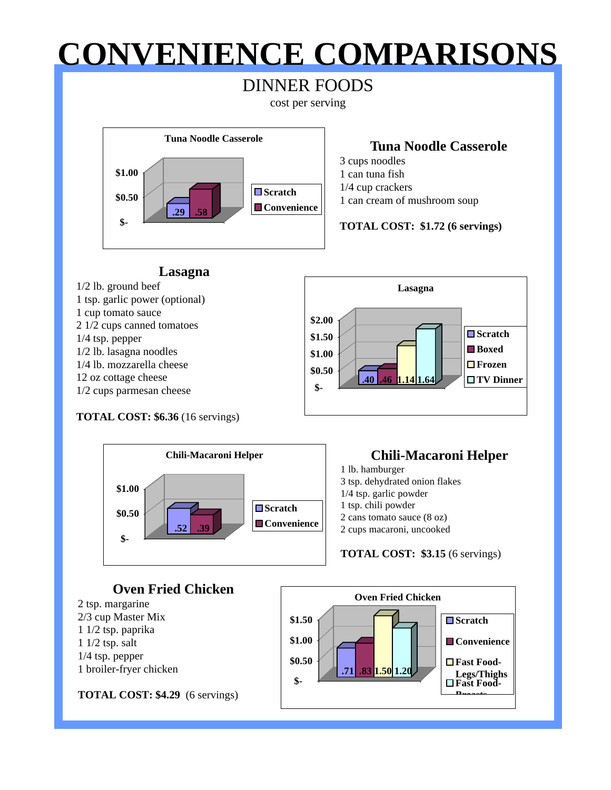# **CONVENIENCE COMPARISONS**

## DINNER FOODS

cost per serving



### **Tuna Noodle Casserole**

3 cups noodles 1 can tuna fish 1/4 cup crackers 1 can cream of mushroom soup

#### **TOTAL COST: \$1.72 (6 servings)**



**TOTAL COST: \$6.36** (16 servings)



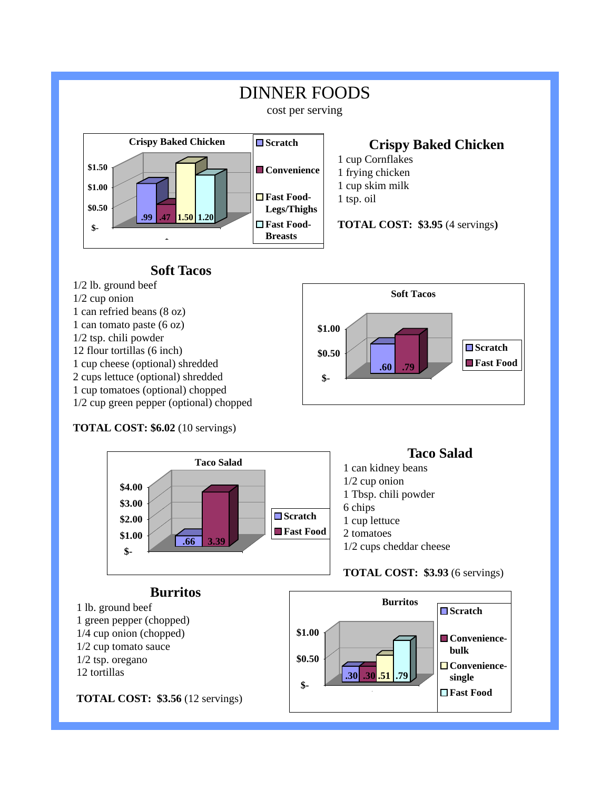

### **Soft Tacos**

- 1/2 lb. ground beef 1/2 cup onion
- 1 can refried beans (8 oz)
- 1 can tomato paste (6 oz)
- 1/2 tsp. chili powder
- 12 flour tortillas (6 inch)
- 1 cup cheese (optional) shredded
- 2 cups lettuce (optional) shredded
- 1 cup tomatoes (optional) chopped
- 1/2 cup green pepper (optional) chopped

#### **TOTAL COST: \$6.02** (10 servings)



**\$-**

**\$0.50**

**\$1.00**

## **Burritos**

1 lb. ground beef 1 green pepper (chopped) 1/4 cup onion (chopped) 1/2 cup tomato sauce 1/2 tsp. oregano 12 tortillas



**Soft Tacos**

**□Scratch** 

**Fast Food .60 .79** 

#### **TOTAL COST: \$3.56** (12 servings)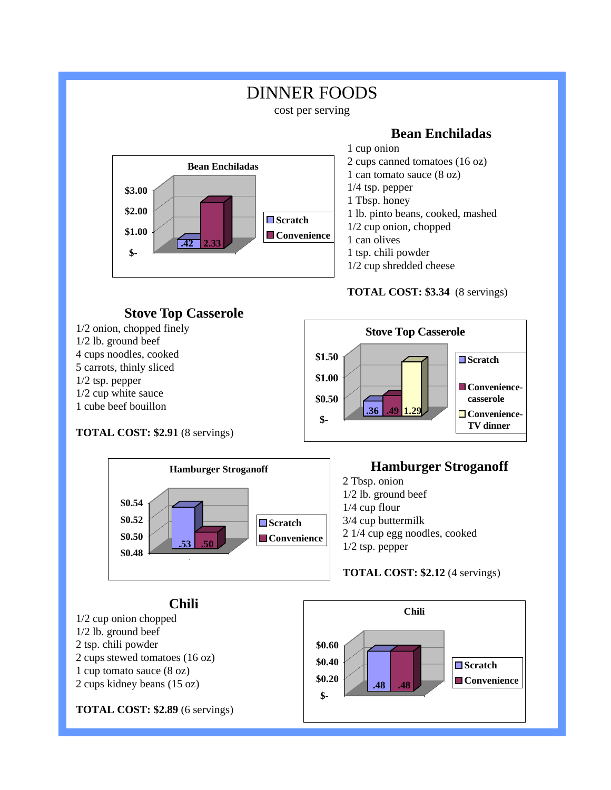#### DINNER FOODS cost per serving **Bean Enchiladas**  1 cup onion 2 cups canned tomatoes (16 oz) 1 can tomato sauce (8 oz) 1/4 tsp. pepper 1 Tbsp. honey 1 lb. pinto beans, cooked, mashed 1/2 cup onion, chopped 1 can olives 1 tsp. chili powder 1/2 cup shredded cheese **TOTAL COST: \$3.34** (8 servings) **\$- \$1.00 \$2.00 \$3.00 Bean Enchiladas □Scratch** ■ Convenience **.42 2.33 Stove Top Casserole**  1/2 onion, chopped finely 1/2 lb. ground beef 4 cups noodles, cooked 5 carrots, thinly sliced 1/2 tsp. pepper 1/2 cup white sauce 1 cube beef bouillon **TOTAL COST: \$2.91** (8 servings) **\$- \$0.50 \$1.00 \$1.50 Stove Top Casserole ■Scratch** ■ Convenience**casserole □ Convenience-TV dinner .36** .49



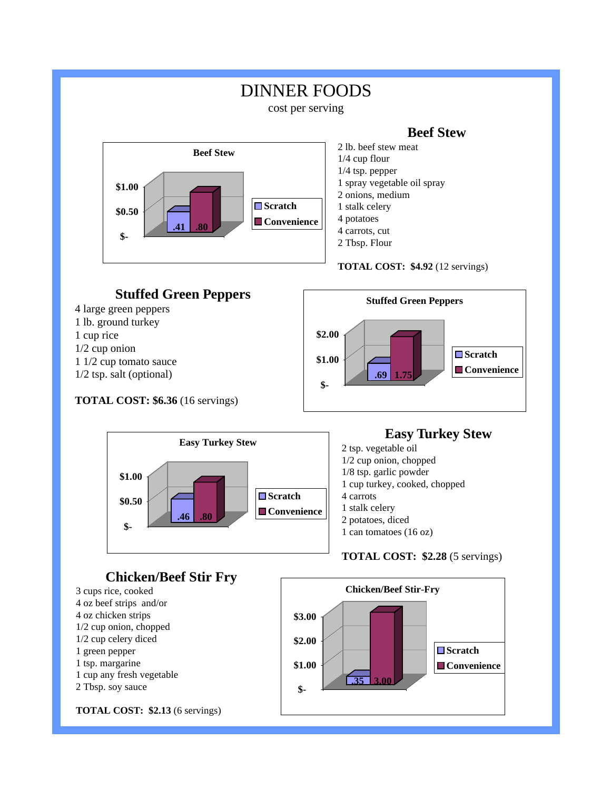

**TOTAL COST: \$2.13** (6 servings)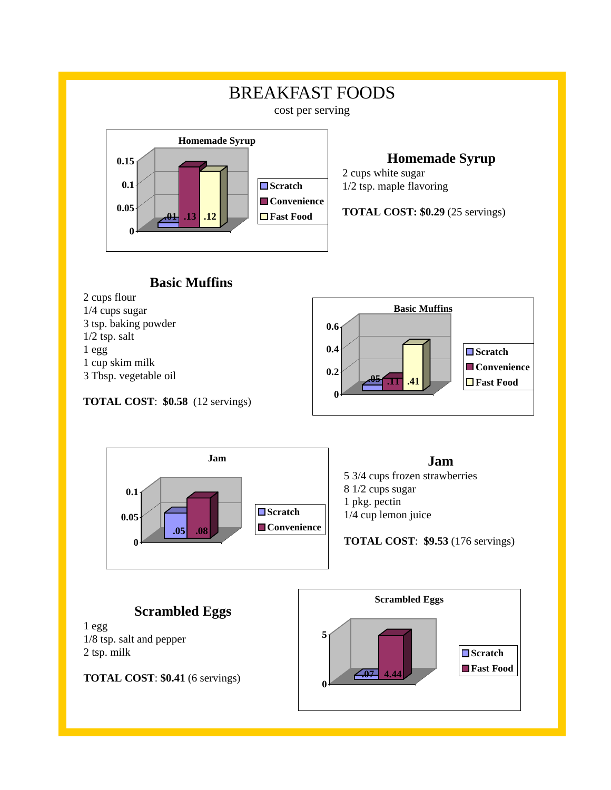

### **Homemade Syrup**

2 cups white sugar 1/2 tsp. maple flavoring

**TOTAL COST: \$0.29** (25 servings)

## **Basic Muffins**



**TOTAL COST**: **\$0.58** (12 servings)



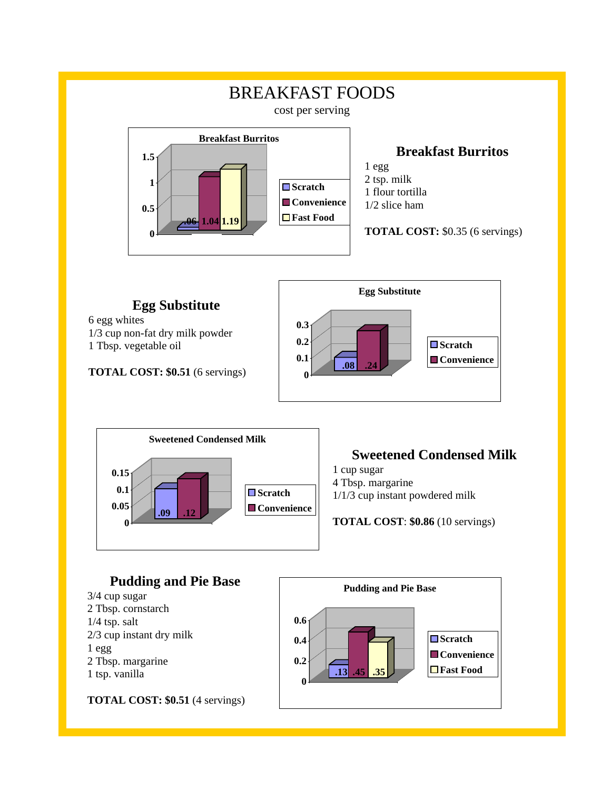

## **Egg Substitute**

6 egg whites 1/3 cup non-fat dry milk powder 1 Tbsp. vegetable oil

**TOTAL COST: \$0.51** (6 servings)





## **Sweetened Condensed Milk**

- 1 cup sugar
- 4 Tbsp. margarine
- 1/1/3 cup instant powdered milk

**TOTAL COST**: **\$0.86** (10 servings)

#### **Pudding and Pie Base**  3/4 cup sugar 2 Tbsp. cornstarch 1/4 tsp. salt 2/3 cup instant dry milk 1 egg 2 Tbsp. margarine 1 tsp. vanilla **TOTAL COST: \$0.51** (4 servings) **0 0.2 0.4 0.6 Pudding and Pie Base ■Scratch** ■ Convenience  $\overline{.13}$  .45  $\overline{.35}$   $\overline{.35}$   $\overline{.35}$   $\overline{.35}$   $\overline{.35}$   $\overline{.35}$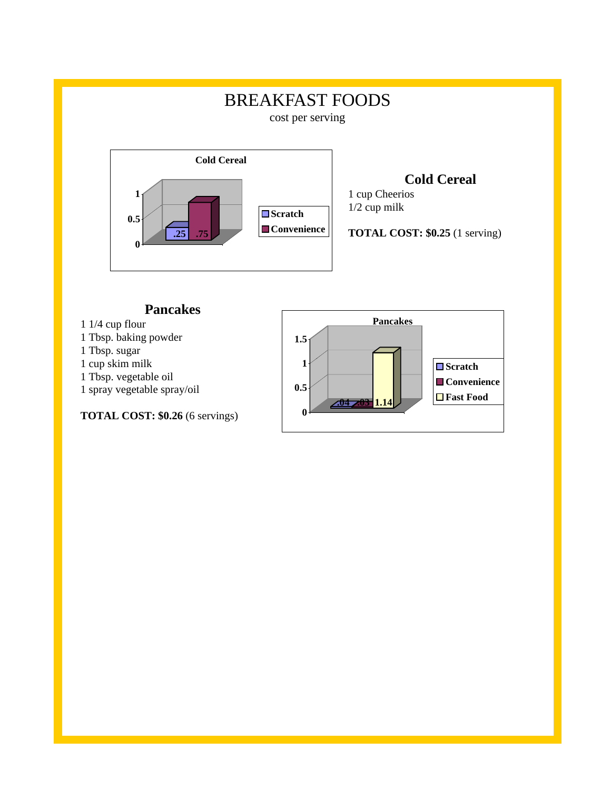## BREAKFAST FOODS

cost per serving



## **Cold Cereal**

1 cup Cheerios 1/2 cup milk

**TOTAL COST: \$0.25** (1 serving)

#### **Pancakes**

- 1 1/4 cup flour
- 1 Tbsp. baking powder
- 1 Tbsp. sugar
- 1 cup skim milk
- 1 Tbsp. vegetable oil
- 1 spray vegetable spray/oil

**TOTAL COST:** \$0.26 (6 servings) **0** 

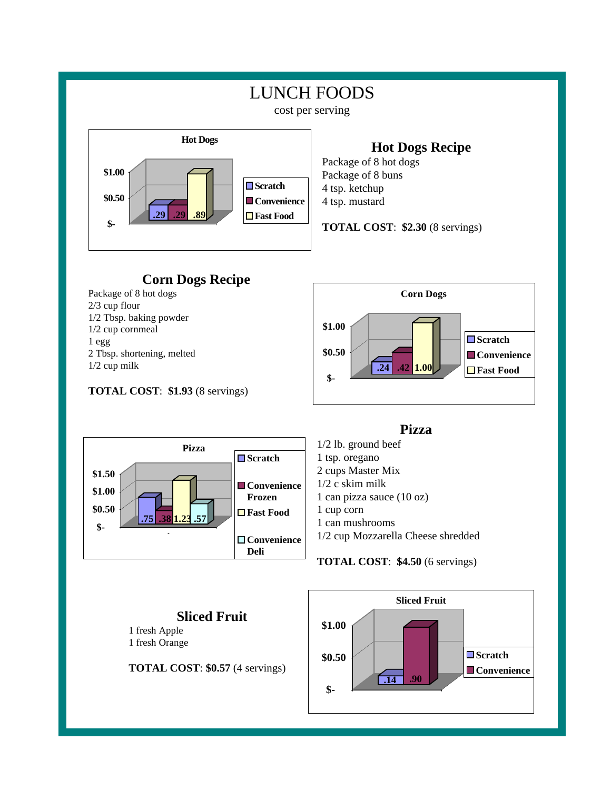

## **Hot Dogs Recipe**

Package of 8 hot dogs Package of 8 buns 4 tsp. ketchup 4 tsp. mustard

**TOTAL COST**: **\$2.30** (8 servings)



1/2 cup milk

#### **TOTAL COST**: **\$1.93** (8 servings)





**Sliced Fruit** 

1 fresh Apple 1 fresh Orange

#### **Pizza**

1/2 lb. ground beef 1 tsp. oregano 2 cups Master Mix 1/2 c skim milk 1 can pizza sauce (10 oz) 1 cup corn 1 can mushrooms 1/2 cup Mozzarella Cheese shredded

#### **TOTAL COST**: **\$4.50** (6 servings)

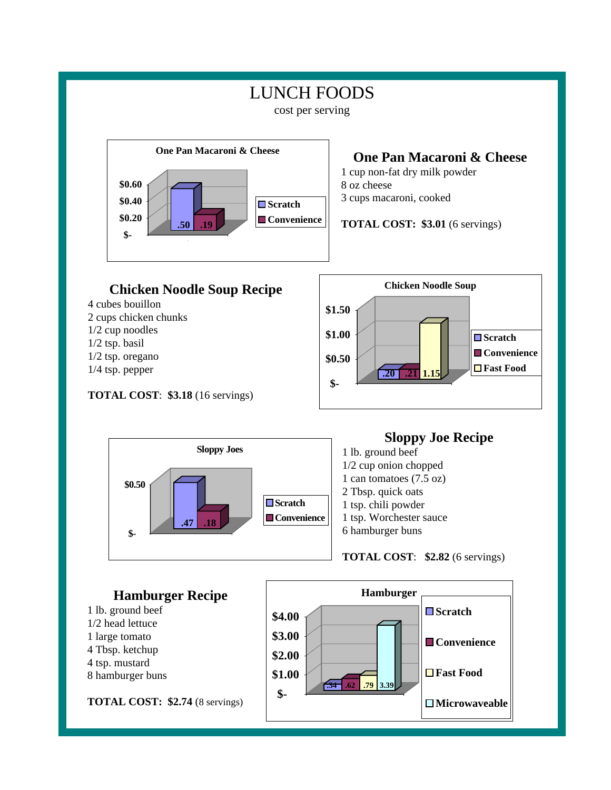## LUNCH FOODS

cost per serving



- 1/2 cup noodles
- 1/2 tsp. basil
- 1/2 tsp. oregano
- 1/4 tsp. pepper

#### **TOTAL COST**: **\$3.18** (16 servings)





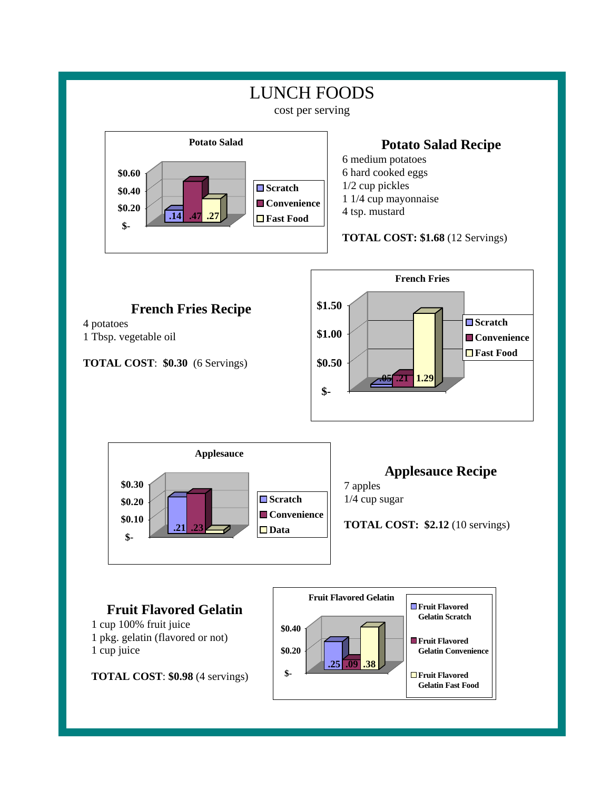

**TOTAL COST**: **\$0.98** (4 servings)